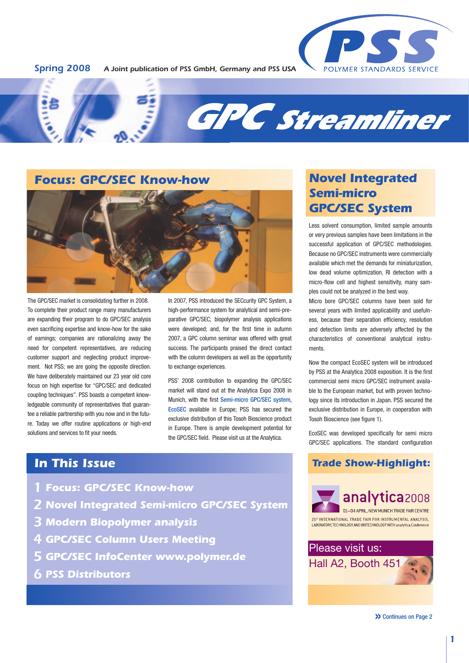



# **Focus: GPC/SEC Know-how**



The GPC/SEC market is consolidating further in 2008. To complete their product range many manufacturers are expanding their program to do GPC/SEC analysis even sacrificing expertise and know-how for the sake of earnings; companies are rationalizing away the need for competent representatives, are reducing customer support and neglecting product improvement. Not PSS; we are going the opposite direction. We have deliberately maintained our 23 year old core focus on high expertise for "GPC/SEC and dedicated coupling techniques". PSS boasts a competent knowledgeable community of representatives that guarantee a reliable partnership with you now and in the future. Today we offer routine applications or high-end solutions and services to fit your needs.

In 2007, PSS introduced the SECcurity GPC System, a high-performance system for analytical and semi-preparative GPC/SEC; biopolymer analysis applications were developed; and, for the first time in autumn 2007, a GPC column seminar was offered with great success. The participants praised the direct contact with the column developers as well as the opportunity to exchange experiences.

PSS' 2008 contribution to expanding the GPC/SEC market will stand out at the Analytica Expo 2008 in Munich, with the first Semi-micro GPC/SEC system, EcoSEC available in Europe; PSS has secured the exclusive distribution of this Tosoh Bioscience product in Europe. There is ample development potential for the GPC/SEC field. Please visit us at the Analytica.

# **Novel Integrated Semi-micro GPC/SEC System**

Less solvent consumption, limited sample amounts or very previous samples have been limitations in the successful application of GPC/SEC methodologies. Because no GPC/SEC instruments were commercially available which met the demands for miniaturization, low dead volume optimization, RI detection with a micro-flow cell and highest sensitivity, many samples could not be analyzed in the best way.

Micro bore GPC/SEC columns have been sold for several years with limited applicability and usefulness, because their separation efficiency, resolution and detection limits are adversely affected by the characteristics of conventional analytical instruments.

Now the compact EcoSEC system will be introduced by PSS at the Analytica 2008 exposition. It is the first commercial semi micro GPC/SEC instrument available to the European market, but with proven technology since its introduction in Japan. PSS secured the exclusive distribution in Europe, in cooperation with Tosoh Bioscience (see figure 1).

EcoSEC was developed specifically for semi micro GPC/SEC applications. The standard configuration

# **In This Issue**

- **Focus: GPC/SEC Know-how** 1
- **Novel Integrated Semi-micro GPC/SEC System** 2
- **Modern Biopolymer analysis**  3
- **GPC/SEC Column Users Meeting**  4
- **GPC/SEC InfoCenter www.polymer.de** 5
- **PSS Distributors** 6

**Trade Show-Highlight:**



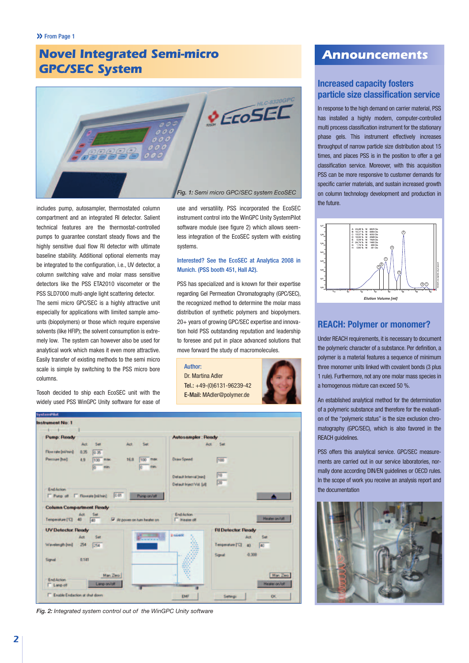# **Novel Integrated Semi-micro GPC/SEC System**



includes pump, autosampler, thermostated column compartment and an integrated RI detector. Salient technical features are the thermostat-controlled pumps to guarantee constant steady flows and the highly sensitive dual flow RI detector with ultimate baseline stability. Additional optional elements may be integrated to the configuration, i.e., UV detector, a column switching valve and molar mass sensitive detectors like the PSS ETA2010 viscometer or the PSS SLD7000 multi-angle light scattering detector.

The semi micro GPC/SEC is a highly attractive unit especially for applications with limited sample amounts (biopolymers) or those which require expensive solvents (like HFIP); the solvent consumption is extremely low. The system can however also be used for analytical work which makes it even more attractive. Easily transfer of existing methods to the semi micro scale is simple by switching to the PSS micro bore columns.

Tosoh decided to ship each EcoSEC unit with the widely used PSS WinGPC Unity software for ease of use and versatility. PSS incorporated the EcoSEC instrument control into the WinGPC Unity SystemPilot software module (see figure 2) which allows seemless integration of the EcoSEC system with existing systems.

### Interested? See the EcoSEC at Analytica 2008 in Munich. (PSS booth 451, Hall A2).

PSS has specialized and is known for their expertise regarding Gel Permeation Chromatography (GPC/SEC), the recognized method to determine the molar mass distribution of synthetic polymers and biopolymers. 20+ years of growing GPC/SEC expertise and innovation hold PSS outstanding reputation and leadership to foresee and put in place advanced solutions that move forward the study of macromolecules.

#### Author:

Dr. Martina Adler Tel.: +49-(0)6131-96239-42 E-Mail: MAdler@polymer.de



| <b>nstrument No: 1</b>          |       |                 |       |                            |                            |                                     |               |
|---------------------------------|-------|-----------------|-------|----------------------------|----------------------------|-------------------------------------|---------------|
| <b>Pump: Ready</b>              |       |                 |       |                            | <b>Autosampler: Ready</b>  |                                     |               |
|                                 | Act   | Set             | Act   | Set                        | Act                        | $-5$ et                             |               |
| Flow rate [m/min]               | 0.35  | 0.35            |       |                            |                            |                                     |               |
| Premise [bar]                   | 4.9   | 100 max<br>mars | 16.8  | 100 max<br><b>FIRST</b>    | Draw Speed:                | 100                                 |               |
|                                 |       |                 |       |                            | Detaut Interval [min]      | 10<br>20                            |               |
| End Action                      |       |                 |       |                            | Detaut Insect Vol. [al]    |                                     |               |
| F Pump off F Flowage (mid-min). |       |                 | 10.01 | Pump on/off                |                            |                                     |               |
|                                 |       |                 |       |                            |                            |                                     |               |
| <b>Column Compartment Ready</b> |       |                 |       |                            |                            |                                     |               |
| Temperature ['C] 40             | Act   | Set<br>40       |       | At power on turn heater on | End Action<br>F Heater off |                                     | Heater on/off |
| <b>UV Detector: Ready</b>       |       |                 |       |                            |                            | <b>RI Detector Ready</b>            |               |
|                                 | Act.  | Set             |       |                            | 1 sticker                  | Act                                 | Set           |
| Wavelength [rm]                 | 254   | 34              |       |                            |                            | Temperature ["C]<br>an <sup>1</sup> | 40            |
|                                 |       |                 |       |                            |                            | $-0.308$                            |               |
| Signal                          | 0.141 |                 |       |                            |                            | Signal                              |               |
| End Action                      |       | Man Zero        |       |                            | ÷.                         |                                     | Man Zero      |

#### *Fig. 2: Integrated system control out of the WinGPC Unity software*

# **Announcements**

# **Increased capacity fosters particle size classification service**

In response to the high demand on carrier material, PSS has installed a highly modern, computer-controlled multi process classification instrument for the stationary phase gels. This instrument effectively increases throughput of narrow particle size distribution about 15 times, and places PSS is in the position to offer a gel classification service. Moreover, with this acquisition PSS can be more responsive to customer demands for specific carrier materials, and sustain increased growth on column technology development and production in the future.



### **REACH: Polymer or monomer?**

Under REACH requirements, it is necessary to document the polymeric character of a substance. Per definition, a polymer is a material features a sequence of minimum three monomer units linked with covalent bonds (3 plus 1 rule). Furthermore, not any one molar mass species in a homogenous mixture can exceed 50 %.

An established analytical method for the determination of a polymeric substance and therefore for the evaluation of the "polymeric status" is the size exclusion chromatography (GPC/SEC), which is also favored in the REACH guidelines.

PSS offers this analytical service. GPC/SEC measurements are carried out in our service laboratories, normally done according DIN/EN guidelines or OECD rules. In the scope of work you receive an analysis report and the documentation

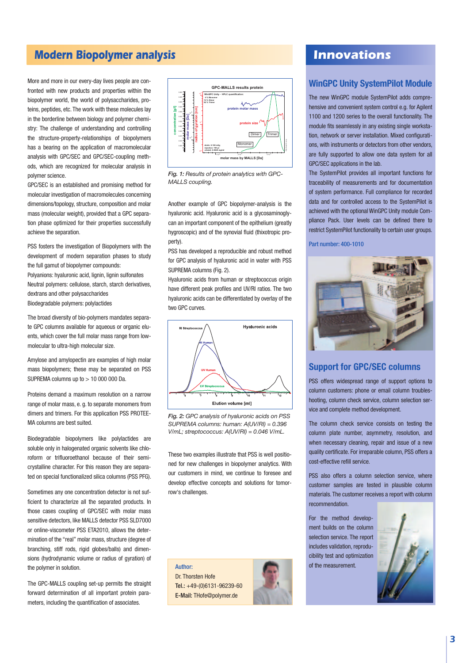# **Modern Biopolymer analysis and all analysis in the set of the set of the set of the set of the set of the set of the set of the set of the set of the set of the set of the set of the set of the set of the set of the set o**

More and more in our every-day lives people are confronted with new products and properties within the biopolymer world, the world of polysaccharides, proteins, peptides, etc. The work with these molecules lay in the borderline between biology and polymer chemistry: The challenge of understanding and controlling the structure-property-relationships of biopolymers has a bearing on the application of macromolecular analysis with GPC/SEC and GPC/SEC-coupling methods, which are recognized for molecular analysis in polymer science.

GPC/SEC is an established and promising method for molecular investigation of macromolecules concerning dimensions/topology, structure, composition and molar mass (molecular weight), provided that a GPC separation phase optimized for their properties successfully achieve the separation.

PSS fosters the investigation of Biopolymers with the development of modern separation phases to study the full gamut of biopolymer compounds: Polyanions: hyaluronic acid, lignin, lignin sulfonates Neutral polymers: cellulose, starch, starch derivatives,

dextrans and other polysaccharides Biodegradable polymers: polylactides

The broad diversity of bio-polymers mandates separate GPC columns available for aqueous or organic eluents, which cover the full molar mass range from lowmolecular to ultra-high molecular size.

Amylose and amylopectin are examples of high molar mass biopolymers; these may be separated on PSS SUPREMA columns up to > 10 000 000 Da.

Proteins demand a maximum resolution on a narrow range of molar mass, e. g. to separate monomers from dimers and trimers. For this application PSS PROTEE-MA columns are best suited.

Biodegradable biopolymers like polylactides are soluble only in halogenated organic solvents like chloroform or trifluoroethanol because of their semicrystalline character. For this reason they are separated on special functionalized silica columns (PSS PFG).

Sometimes any one concentration detector is not sufficient to characterize all the separated products. In those cases coupling of GPC/SEC with molar mass sensitive detectors, like MALLS detector PSS SLD7000 or online-viscometer PSS ETA2010, allows the determination of the "real" molar mass, structure (degree of branching, stiff rods, rigid globes/balls) and dimensions (hydrodynamic volume or radius of gyration) of the polymer in solution.

The GPC-MALLS coupling set-up permits the straight forward determination of all important protein parameters, including the quantification of associates.



*Fig. 1: Results of protein analytics with GPC-MALLS coupling.*

Another example of GPC biopolymer-analysis is the hyaluronic acid. Hyaluronic acid is a glycosaminoglycan an important component of the epithelium (greatly hygroscopic) and of the synovial fluid (thixotropic property).

PSS has developed a reproducible and robust method for GPC analysis of hyaluronic acid in water with PSS SUPREMA columns (Fig. 2).

Hyaluronic acids from human or streptococcus origin have different peak profiles and UV/RI ratios. The two hyaluronic acids can be differentiated by overlay of the two GPC curves.



*Fig. 2: GPC analysis of hyaluronic acids on PSS SUPREMA columns: human: A(UV/RI) = 0.396 V/mL; streptococcus: A(UV/RI) = 0.046 V/mL.*

These two examples illustrate that PSS is well positioned for new challenges in biopolymer analytics. With our customers in mind, we continue to foresee and develop effective concepts and solutions for tomorrow's challenges.

Dr. Thorsten Hofe Tel.: +49-(0)6131-96239-60 E-Mail: THofe@polymer.de



# **WinGPC Unity SystemPilot Module**

The new WinGPC module SystemPilot adds comprehensive and convenient system control e.g. for Agilent 1100 and 1200 series to the overall functionality. The module fits seamlessly in any existing single workstation, network or server installation. Mixed configurations, with instruments or detectors from other vendors, are fully supported to allow one data system for all GPC/SEC applications in the lab.

The SystemPilot provides all important functions for traceability of measurements and for documentation of system performance. Full compliance for recorded data and for controlled access to the SystemPilot is achieved with the optional WinGPC Unity module Compliance Pack. User levels can be defined there to restrict SystemPilot functionality to certain user groups.

Part number: 400-1010



# **Support for GPC/SEC columns**

PSS offers widespread range of support options to column customers: phone or email column troubleshooting, column check service, column selection service and complete method development.

The column check service consists on testing the column plate number, asymmetry, resolution, and when necessary cleaning, repair and issue of a new quality certificate. For irreparable column, PSS offers a cost-effective refill service.

PSS also offers a column selection service, where customer samples are tested in plausible column materials. The customer receives a report with column recommendation.

For the method development builds on the column selection service. The report includes validation, reproducibility test and optimization

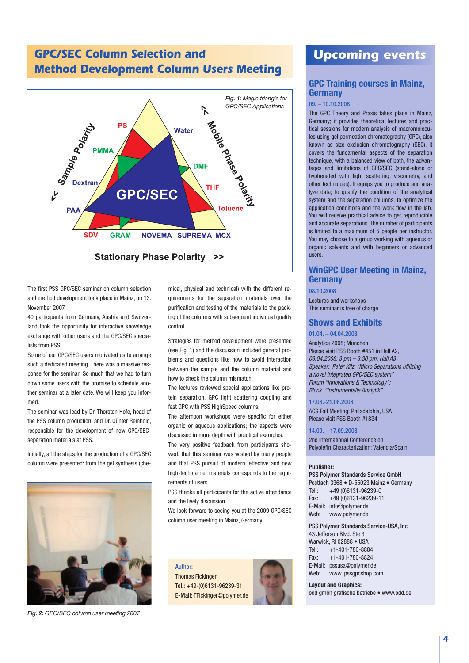# **GPC/SEC Column Selection and Method Development Column Users Meeting**



The first PSS GPC/SEC seminar on column selection and method development took place in Mainz, on 13. November 2007

40 participants from Germany, Austria and Switzerland took the opportunity for interactive knowledge exchange with other users and the GPC/SEC specialists from PSS.

Some of our GPC/SEC users motivated us to arrange such a dedicated meeting. There was a massive response for the seminar; So much that we had to turn down some users with the promise to schedule another seminar at a later date. We will keep you informed.

The seminar was lead by Dr. Thorsten Hofe, head of the PSS column production, and Dr. Günter Reinhold, responsible for the development of new GPC/SECseparation materials at PSS.

Initially, all the steps for the production of a GPC/SEC column were presented: from the gel synthesis (che-



*Fig. 2: GPC/SEC column user meeting 2007*

mical, physical and technical) with the different re quire ments for the separation materials over the purification and testing of the materials to the pack ing of the columns with subsequent individual quality control.

Strategies for method development were presented (see Fig. 1) and the discussion included general problems and questions like how to avoid interaction between the sample and the column material and how to check the column mismatch.

The lectures reviewed special applications like protein separation, GPC light scattering coupling and fast GPC with PSS HighSpeed columns.

The afternoon workshops were specific for either organic or aqueous applications; the aspects were discussed in more depth with practical examples.

The very positive feedback from participants showed, that this seminar was wished by many people and that PSS pursuit of modern, effective and new high-tech carrier materials corresponds to the requirements of users.

PSS thanks all participants for the active attendance and the lively discussion.

We look forward to seeing you at the 2009 GPC/SEC column user meeting in Mainz, Germany.

Author: Thomas Fickinger Tel.: +49-(0)6131-96239-31 E-Mail: TFickinger@polymer.de



# **Upcoming events**

## **GPC Training courses in Mainz, Germany**

#### 09. – 10.10.2008

The GPC Theory and Praxis takes place in Mainz, Germany; it provides theoretical lectures and practical sessions for modern analysis of macromolecules using gel permeation chromatography (GPC), also known as size exclusion chromatography (SEC). It covers the fundamental aspects of the separation technique, with a balanced view of both, the advantages and limitations of GPC/SEC (stand-alone or hyphenated with light scattering, viscometry, and other techniques). It equips you to produce and analyze data; to qualify the condition of the analytical system and the separation columns; to optimize the application conditions and the work flow in the lab. You will receive practical advice to get reproducible and accurate separations. The number of participants is limited to a maximum of 5 people per instructor. You may choose to a group working with aqueous or organic solvents and with beginners or advanced users.

# **WinGPC User Meeting in Mainz, Germany**

08.10.2008

Lectures and workshops This seminar is free of charge

# **Shows and Exhibits**

## 01.04. – 04.04.2008

Analytica 2008; München Please visit PSS Booth #451 in Hall A2, 03.04.2008: 3 pm – 3.30 pm; Hall A3 Speaker: Peter Kilz: "Micro Separations utilizing a novel integrated GPC/SEC system" Forum "Innovations & Technology"; Block "Instrumentelle Analytik"

#### 17.08.-21.08.2008

ACS Fall Meeting; Philadelphia, USA Please visit PSS Booth #1834

#### 14.09. – 17.09.2008

2nd International Conference on Polyolefin Characterization; Valencia/Spain

#### **Publisher:**

PSS Polymer Standards Service GmbH Postfach 3368 • D-55023 Mainz • Germany Tel.: +49 (0)6131-96239-0 Fax: +49 (0)6131-96239-11 E-Mail: info@polymer.de Web: www.polymer.de

PSS Polymer Standards Service-USA, Inc 43 Jefferson Blvd. Ste 3 Warwick, RI 02888 · USA Tel.: +1-401-780-8884<br>Fax: +1-401-780-8824  $+1-401-780-8824$ E-Mail: pssusa@polymer.de Web: www. pssgpcshop.com

#### **Layout and Graphics:**

odd gmbh grafische betriebe • www.odd.de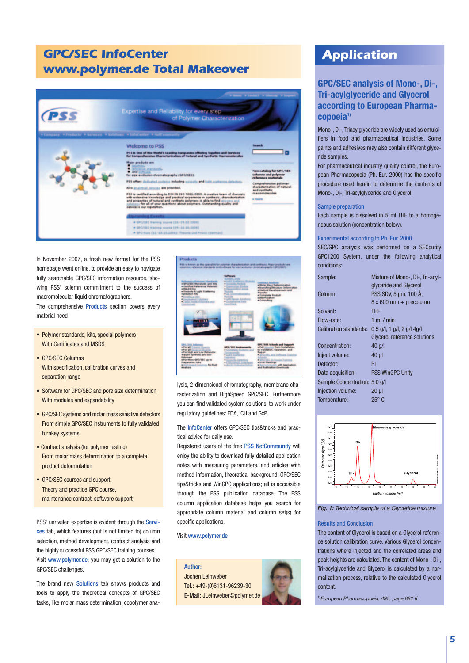# **GPC/SEC InfoCenter www.polymer.de Total Makeover**



In November 2007, a fresh new format for the PSS homepage went online, to provide an easy to navigate fully searchable GPC/SEC information resource, showing PSS' solemn commitment to the success of macromolecular liquid chromatographers. The comprehensive Products section covers every ma terial need

- Polymer standards, kits, special polymers With Certificates and MSDS
- GPC/SEC Columns With specification, calibration curves and separation range
- Software for GPC/SEC and pore size determination With modules and expandability
- GPC/SEC systems and molar mass sensitive detectors From simple GPC/SEC instruments to fully validated turnkey systems
- Contract analysis (for polymer testing) From molar mass determination to a complete product deformulation
- GPC/SEC courses and support Theory and practice GPC course, maintenance contract, software support.

PSS' unrivaled expertise is evident through the Services tab, which features (but is not limited to) column selection, method development, contract analysis and the highly successful PSS GPC/SEC training courses. Visit www.polymer.de; you may get a solution to the GPC/SEC challenges.

The brand new Solutions tab shows products and tools to apply the theoretical concepts of GPC/SEC tasks, like molar mass determination, copolymer ana-



lysis, 2-dimensional chromatography, membrane characterization and HighSpeed GPC/SEC. Furthermore you can find validated system solutions, to work under regulatory guidelines: FDA, ICH and GxP.

The InfoCenter offers GPC/SEC tips&tricks and practical advice for daily use.

Registered users of the free PSS NetCommunity will enjoy the ability to download fully detailed application notes with measuring parameters, and articles with method information, theoretical background, GPC/SEC tips&tricks and WinGPC applications; all is accessible through the PSS publication database. The PSS column application database helps you search for appropriate column material and column set(s) for specific applications.

Visit www.polymer.de



# **Application**

# **GPC/SEC analysis of Mono-, Di-, Tri-acylglyceride and Glycerol according to European Pharmacopoeia1)**

Mono-, Di-, Triacylglyceride are widely used as emulsifiers in food and pharmaceutical industries. Some paints and adhesives may also contain different glyceride samples.

For pharmaceutical industry quality control, the European Pharmacopoeia (Ph. Eur. 2000) has the specific procedure used herein to determine the contents of Mono-, Di-, Tri-acylglyceride and Glycerol.

#### Sample preparation

Each sample is dissolved in 5 ml THF to a homogeneous solution (concentration below).

#### Experimental according to Ph. Eur. 2000

SEC/GPC analysis was performed on a SECcurity GPC1200 System, under the following analytical conditions:

| Sample:                       | Mixture of Mono-, Di-, Tri-acyl-    |
|-------------------------------|-------------------------------------|
|                               | glyceride and Glycerol              |
| Column:                       | PSS SDV, 5 µm, 100 Å,               |
|                               | $8 \times 600$ mm + precolumn       |
| Solvent:                      | <b>THF</b>                          |
| Flow-rate:                    | 1 ml $/$ min                        |
| <b>Calibration standards:</b> | $0.5$ g/l, 1 g/l, 2 g/l 4g/l        |
|                               | <b>Glycerol reference solutions</b> |
| Concentration:                | $40$ g/l                            |
| Inject volume:                | $40 \mu$                            |
| Detector:                     | R <sub>l</sub>                      |
| Data acquisition:             | <b>PSS WinGPC Unity</b>             |
| Sample Concentration: 5.0 g/l |                                     |
| Injection volume:             | $20 \mu$                            |
| Temperature:                  | $25^{\circ}$ C                      |
|                               |                                     |



*Fig. 1: Technical sample of a Glyceride mixture*

### Results and Conclusion

The content of Glycerol is based on a Glycerol reference solution calibration curve. Various Glycerol concentrations where injected and the correlated areas and peak heights are calculated. The content of Mono-, Di-, Tri-acylglyceride and Glycerol is calculated by a normalization process, relative to the calculated Glycerol content.

1) *European Pharmacopoeia, 495, page 882 ff*